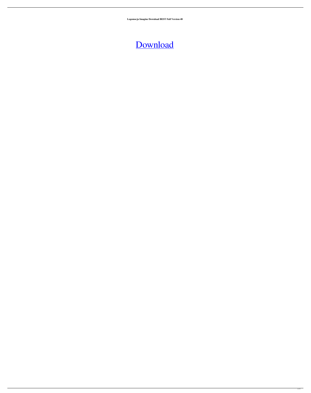**Logomocja Imagine Download BEST Full Version 48**

[Download](http://evacdir.com/ZG93bmxvYWR8OGQxTjJKbWNueDhNVFkxTlRnME1qazRNWHg4TWpVNU1IeDhLRTBwSUZkdmNtUndjbVZ6Y3lCYldFMU1VbEJESUZZeUlGQkVSbDA?TG9nb21vY2phIEltYWdpbmUgRG93bmxvYWQgRnVsbCBWZXJzaW9uIDQ4TG9=/unathletic/buckland.quieted.palmberry/)